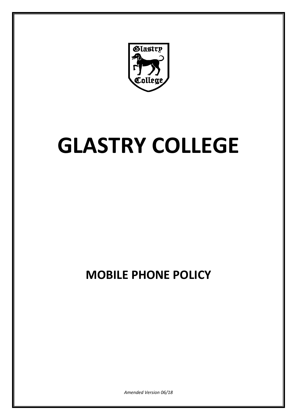

# **GLASTRY COLLEGE**

## **MOBILE PHONE POLICY**

*Amended Version 06/18*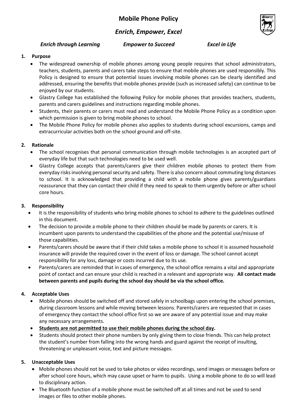### *Enrich, Empower, Excel*

#### *Enrich through Learning Empower to Succeed Excel in Life*



#### **1. Purpose**

- The widespread ownership of mobile phones among young people requires that school administrators, teachers, students, parents and carers take steps to ensure that mobile phones are used responsibly. This Policy is designed to ensure that potential issues involving mobile phones can be clearly identified and addressed, ensuring the benefits that mobile phones provide (such as increased safety) can continue to be enjoyed by our students.
- Glastry College has established the following Policy for mobile phones that provides teachers, students, parents and carers guidelines and instructions regarding mobile phones.
- Students, their parents or carers must read and understand the Mobile Phone Policy as a condition upon which permission is given to bring mobile phones to school.
- The Mobile Phone Policy for mobile phones also applies to students during school excursions, camps and extracurricular activities both on the school ground and off‐site.

#### **2. Rationale**

- The school recognises that personal communication through mobile technologies is an accepted part of everyday life but that such technologies need to be used well.
- Glastry College accepts that parents/carers give their children mobile phones to protect them from everyday risks involving personal security and safety. There is also concern about commuting long distances to school. It is acknowledged that providing a child with a mobile phone gives parents/guardians reassurance that they can contact their child if they need to speak to them urgently before or after school core hours.

#### **3. Responsibility**

- It is the responsibility of students who bring mobile phones to school to adhere to the guidelines outlined in this document.
- The decision to provide a mobile phone to their children should be made by parents or carers. It is incumbent upon parents to understand the capabilities of the phone and the potential use/misuse of those capabilities.
- Parents/carers should be aware that if their child takes a mobile phone to school it is assumed household insurance will provide the required cover in the event of loss or damage. The school cannot accept responsibility for any loss, damage or costs incurred due to its use.
- Parents/carers are reminded that in cases of emergency, the school office remains a vital and appropriate point of contact and can ensure your child is reached in a relevant and appropriate way. **All contact made between parents and pupils during the school day should be via the school office.**

#### **4. Acceptable Uses**

- Mobile phones should be switched off and stored safely in schoolbags upon entering the school premises, during classroom lessons and while moving between lessons. Parents/carers are requested that in cases of emergency they contact the school office first so we are aware of any potential issue and may make any necessary arrangements.
- **Students are not permitted to use their mobile phones during the school day.**
- Students should protect their phone numbers by only giving them to close friends. This can help protect the student's number from falling into the wrong hands and guard against the receipt of insulting, threatening or unpleasant voice, text and picture messages.

#### **5. Unacceptable Uses**

- Mobile phones should not be used to take photos or video recordings, send images or messages before or after school core hours, which may cause upset or harm to pupils. Using a mobile phone to do so will lead to disciplinary action.
- The Bluetooth function of a mobile phone must be switched off at all times and not be used to send images or files to other mobile phones.

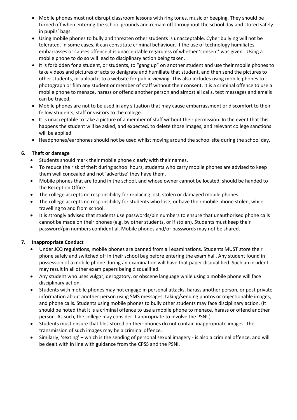- Mobile phones must not disrupt classroom lessons with ring tones, music or beeping. They should be turned off when entering the school grounds and remain off throughout the school day and stored safely in pupils' bags.
- Using mobile phones to bully and threaten other students is unacceptable. Cyber bullying will not be tolerated. In some cases, it can constitute criminal behaviour. If the use of technology humiliates, embarrasses or causes offence it is unacceptable regardless of whether 'consent' was given. Using a mobile phone to do so will lead to disciplinary action being taken.
- It is forbidden for a student, or students, to "gang up" on another student and use their mobile phones to take videos and pictures of acts to denigrate and humiliate that student, and then send the pictures to other students, or upload it to a website for public viewing. This also includes using mobile phones to photograph or film any student or member of staff without their consent. It is a criminal offence to use a mobile phone to menace, harass or offend another person and almost all calls, text messages and emails can be traced.
- Mobile phones are not to be used in any situation that may cause embarrassment or discomfort to their fellow students, staff or visitors to the college.
- It is unacceptable to take a picture of a member of staff without their permission. In the event that this happens the student will be asked, and expected, to delete those images, and relevant college sanctions will be applied.
- Headphones/earphones should not be used whilst moving around the school site during the school day.

#### **6. Theft or damage**

- Students should mark their mobile phone clearly with their names.
- To reduce the risk of theft during school hours, students who carry mobile phones are advised to keep them well concealed and not 'advertise' they have them.
- Mobile phones that are found in the school, and whose owner cannot be located, should be handed to the Reception Office.
- The college accepts no responsibility for replacing lost, stolen or damaged mobile phones.
- The college accepts no responsibility for students who lose, or have their mobile phone stolen, while travelling to and from school.
- It is strongly advised that students use passwords/pin numbers to ensure that unauthorised phone calls cannot be made on their phones (e.g. by other students, or if stolen). Students must keep their password/pin numbers confidential. Mobile phones and/or passwords may not be shared.

#### **7. Inappropriate Conduct**

- Under JCQ regulations, mobile phones are banned from all examinations. Students MUST store their phone safely and switched off in their school bag before entering the exam hall. Any student found in possession of a mobile phone during an examination will have that paper disqualified. Such an incident may result in all other exam papers being disqualified.
- Any student who uses vulgar, derogatory, or obscene language while using a mobile phone will face disciplinary action.
- Students with mobile phones may not engage in personal attacks, harass another person, or post private information about another person using SMS messages, taking/sending photos or objectionable images, and phone calls. Students using mobile phones to bully other students may face disciplinary action. (It should be noted that it is a criminal offence to use a mobile phone to menace, harass or offend another person. As such, the college may consider it appropriate to involve the PSNI.)
- Students must ensure that files stored on their phones do not contain inappropriate images. The transmission of such images may be a criminal offence.
- Similarly, 'sexting' which is the sending of personal sexual imagery ‐ is also a criminal offence, and will be dealt with in line with guidance from the CPSS and the PSNI.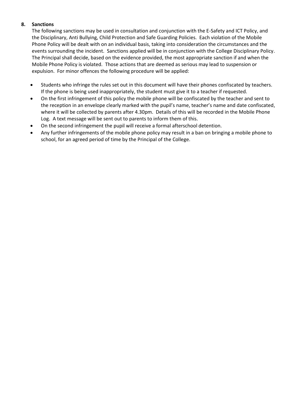#### **8. Sanctions**

The following sanctions may be used in consultation and conjunction with the E‐Safety and ICT Policy, and the Disciplinary, Anti Bullying, Child Protection and Safe Guarding Policies. Each violation of the Mobile Phone Policy will be dealt with on an individual basis, taking into consideration the circumstances and the events surrounding the incident. Sanctions applied will be in conjunction with the College Disciplinary Policy. The Principal shall decide, based on the evidence provided, the most appropriate sanction if and when the Mobile Phone Policy is violated. Those actions that are deemed as serious may lead to suspension or expulsion. For minor offences the following procedure will be applied:

- Students who infringe the rules set out in this document will have their phones confiscated by teachers. If the phone is being used inappropriately, the student must give it to a teacher if requested.
- On the first infringement of this policy the mobile phone will be confiscated by the teacher and sent to the reception in an envelope clearly marked with the pupil's name, teacher's name and date confiscated, where it will be collected by parents after 4.30pm. Details of this will be recorded in the Mobile Phone Log. A text message will be sent out to parents to inform them of this.
- On the second infringement the pupil will receive a formal afterschool detention.
- Any further infringements of the mobile phone policy may result in a ban on bringing a mobile phone to school, for an agreed period of time by the Principal of the College.